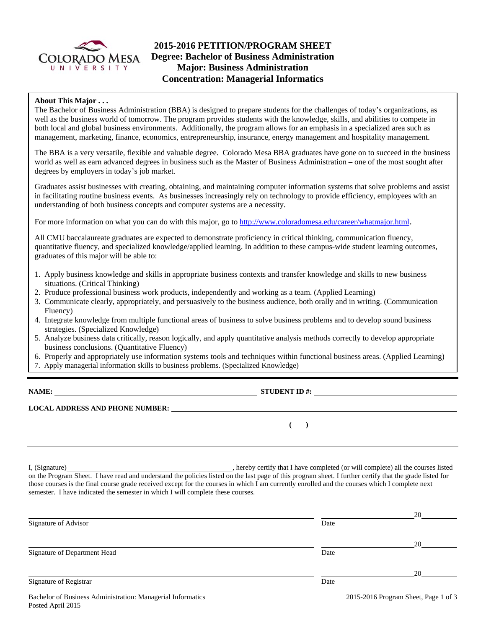

# **2015-2016 PETITION/PROGRAM SHEET Degree: Bachelor of Business Administration Major: Business Administration Concentration: Managerial Informatics**

### **About This Major . . .**

The Bachelor of Business Administration (BBA) is designed to prepare students for the challenges of today's organizations, as well as the business world of tomorrow. The program provides students with the knowledge, skills, and abilities to compete in both local and global business environments. Additionally, the program allows for an emphasis in a specialized area such as management, marketing, finance, economics, entrepreneurship, insurance, energy management and hospitality management.

The BBA is a very versatile, flexible and valuable degree. Colorado Mesa BBA graduates have gone on to succeed in the business world as well as earn advanced degrees in business such as the Master of Business Administration – one of the most sought after degrees by employers in today's job market.

Graduates assist businesses with creating, obtaining, and maintaining computer information systems that solve problems and assist in facilitating routine business events. As businesses increasingly rely on technology to provide efficiency, employees with an understanding of both business concepts and computer systems are a necessity.

For more information on what you can do with this major, go to http://www.coloradomesa.edu/career/whatmajor.html.

All CMU baccalaureate graduates are expected to demonstrate proficiency in critical thinking, communication fluency, quantitative fluency, and specialized knowledge/applied learning. In addition to these campus-wide student learning outcomes, graduates of this major will be able to:

- 1. Apply business knowledge and skills in appropriate business contexts and transfer knowledge and skills to new business situations. (Critical Thinking)
- 2. Produce professional business work products, independently and working as a team. (Applied Learning)
- 3. Communicate clearly, appropriately, and persuasively to the business audience, both orally and in writing. (Communication Fluency)
- 4. Integrate knowledge from multiple functional areas of business to solve business problems and to develop sound business strategies. (Specialized Knowledge)
- 5. Analyze business data critically, reason logically, and apply quantitative analysis methods correctly to develop appropriate business conclusions. (Quantitative Fluency)
- 6. Properly and appropriately use information systems tools and techniques within functional business areas. (Applied Learning)
- 7. Apply managerial information skills to business problems. (Specialized Knowledge)

**NAME:** STUDENT ID #:

**(** )

**LOCAL ADDRESS AND PHONE NUMBER:**

I, (Signature) , hereby certify that I have completed (or will complete) all the courses listed on the Program Sheet. I have read and understand the policies listed on the last page of this program sheet. I further certify that the grade listed for those courses is the final course grade received except for the courses in which I am currently enrolled and the courses which I complete next semester. I have indicated the semester in which I will complete these courses.

|                                                                                  |      | 20                                       |
|----------------------------------------------------------------------------------|------|------------------------------------------|
| Signature of Advisor                                                             | Date |                                          |
|                                                                                  |      | 20                                       |
| Signature of Department Head                                                     | Date |                                          |
|                                                                                  |      | 20                                       |
| Signature of Registrar                                                           | Date |                                          |
| $\mathbf{r}$ and $\mathbf{r}$ and $\mathbf{r}$ and $\mathbf{r}$ and $\mathbf{r}$ |      | $2015.201 \times D$ $(1 \times D)$ $(2)$ |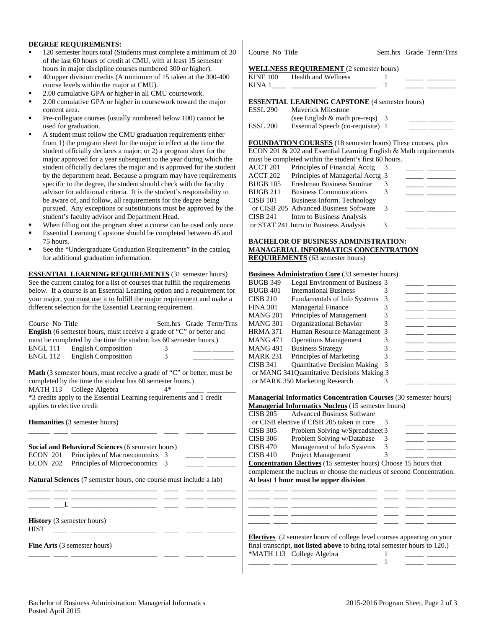#### **DEGREE REQUIREMENTS:**

- 120 semester hours total (Students must complete a minimum of 30 of the last 60 hours of credit at CMU, with at least 15 semester hours in major discipline courses numbered 300 or higher).
- 40 upper division credits (A minimum of 15 taken at the 300-400 course levels within the major at CMU).
- 2.00 cumulative GPA or higher in all CMU coursework.
- 2.00 cumulative GPA or higher in coursework toward the major content area.
- Pre-collegiate courses (usually numbered below 100) cannot be used for graduation.
- A student must follow the CMU graduation requirements either from 1) the program sheet for the major in effect at the time the student officially declares a major; or 2) a program sheet for the major approved for a year subsequent to the year during which the student officially declares the major and is approved for the student by the department head. Because a program may have requirements specific to the degree, the student should check with the faculty advisor for additional criteria. It is the student's responsibility to be aware of, and follow, all requirements for the degree being pursued. Any exceptions or substitutions must be approved by the student's faculty advisor and Department Head.
- When filling out the program sheet a course can be used only once.
- Essential Learning Capstone should be completed between 45 and 75 hours.
- See the "Undergraduate Graduation Requirements" in the catalog for additional graduation information.

**ESSENTIAL LEARNING REQUIREMENTS** (31 semester hours) See the current catalog for a list of courses that fulfill the requirements below. If a course is an Essential Learning option and a requirement for your major, you must use it to fulfill the major requirement and make a different selection for the Essential Learning requirement.

| Course No Title<br>English (6 semester hours, must receive a grade of "C" or better and<br>must be completed by the time the student has 60 semester hours.)<br>ENGL 111 English Composition<br>ENGL 112 English Composition                           | Sem.hrs Grade Term/Trns<br>3<br>$\mathcal{R}$ |  |  |  |  |
|--------------------------------------------------------------------------------------------------------------------------------------------------------------------------------------------------------------------------------------------------------|-----------------------------------------------|--|--|--|--|
| <b>Math</b> (3 semester hours, must receive a grade of "C" or better, must be<br>completed by the time the student has 60 semester hours.)<br>MATH 113 College Algebra<br>$4*$<br>*3 credits apply to the Essential Learning requirements and 1 credit |                                               |  |  |  |  |
| applies to elective credit<br><b>Humanities</b> (3 semester hours)                                                                                                                                                                                     |                                               |  |  |  |  |
| Social and Behavioral Sciences (6 semester hours)                                                                                                                                                                                                      |                                               |  |  |  |  |
| ECON 201 Principles of Macroeconomics 3                                                                                                                                                                                                                |                                               |  |  |  |  |
| ECON 202 Principles of Microeconomics 3                                                                                                                                                                                                                |                                               |  |  |  |  |
| Natural Sciences (7 semester hours, one course must include a lab)                                                                                                                                                                                     |                                               |  |  |  |  |
|                                                                                                                                                                                                                                                        |                                               |  |  |  |  |
| <b>History</b> (3 semester hours)<br><b>HIST</b><br><u> 1990 - Johann Stein, mars an deus an deus an deus an deus an deus an deus an deus an deus an deus an deus an</u>                                                                               |                                               |  |  |  |  |
| <b>Fine Arts</b> (3 semester hours)<br>- -                                                                                                                                                                                                             |                                               |  |  |  |  |

Course No Title Sem.hrs Grade Term/Trns

#### **WELLNESS REQUIREMENT** (2 semester hours)

| <b>Health and Wellness</b>     |                                        |                                                                                                                                                                                                                                                                                                                                                                                                                     |
|--------------------------------|----------------------------------------|---------------------------------------------------------------------------------------------------------------------------------------------------------------------------------------------------------------------------------------------------------------------------------------------------------------------------------------------------------------------------------------------------------------------|
|                                |                                        |                                                                                                                                                                                                                                                                                                                                                                                                                     |
|                                |                                        |                                                                                                                                                                                                                                                                                                                                                                                                                     |
|                                |                                        |                                                                                                                                                                                                                                                                                                                                                                                                                     |
| Maverick Milestone             |                                        |                                                                                                                                                                                                                                                                                                                                                                                                                     |
|                                |                                        |                                                                                                                                                                                                                                                                                                                                                                                                                     |
|                                |                                        |                                                                                                                                                                                                                                                                                                                                                                                                                     |
|                                |                                        |                                                                                                                                                                                                                                                                                                                                                                                                                     |
|                                |                                        |                                                                                                                                                                                                                                                                                                                                                                                                                     |
|                                |                                        |                                                                                                                                                                                                                                                                                                                                                                                                                     |
| Principles of Financial Acctg  | 3                                      |                                                                                                                                                                                                                                                                                                                                                                                                                     |
|                                |                                        | <u> 1989 - Jan Barnett, mars et al.</u>                                                                                                                                                                                                                                                                                                                                                                             |
| Freshman Business Seminar      | 3                                      |                                                                                                                                                                                                                                                                                                                                                                                                                     |
| <b>Business Communications</b> | 3                                      |                                                                                                                                                                                                                                                                                                                                                                                                                     |
| Business Inform. Technology    |                                        |                                                                                                                                                                                                                                                                                                                                                                                                                     |
|                                | 3                                      |                                                                                                                                                                                                                                                                                                                                                                                                                     |
|                                | or CISB 205 Advanced Business Software | <b>WELLNESS REQUIREMENT</b> (2 semester hours)<br><b>ESSENTIAL LEARNING CAPSTONE</b> (4 semester hours)<br>(see English $\&$ math pre-reqs) 3<br>Essential Speech (co-requisite) 1<br>FOUNDATION COURSES (18 semester hours) These courses, plus<br>ECON 201 & 202 and Essential Learning English & Math requirements<br>must be completed within the student's first 60 hours.<br>Principles of Managerial Acctg 3 |

CISB 241 Intro to Business Analysis or STAT 241 Intro to Business Analysis 3

#### **BACHELOR OF BUSINESS ADMINISTRATION: MANAGERIAL INFORMATICS CONCENTRATION REQUIREMENTS** (63 semester hours)

#### **Business Administration Core** (33 semester hours)

| BUGB 349 | Legal Environment of Business 3            |   |  |
|----------|--------------------------------------------|---|--|
| BUGB 401 | <b>International Business</b>              |   |  |
| CISB 210 | <b>Fundamentals of Info Systems</b>        |   |  |
| FINA 301 | <b>Managerial Finance</b>                  |   |  |
| MANG 201 | Principles of Management                   |   |  |
| MANG 301 | Organizational Behavior                    |   |  |
| HRMA 371 | Human Resource Management 3                |   |  |
| MANG 471 | <b>Operations Management</b>               |   |  |
| MANG 491 | <b>Business Strategy</b>                   |   |  |
| MARK 231 | Principles of Marketing                    |   |  |
| CISB 341 | <b>Quantitative Decision Making</b>        | 3 |  |
|          | or MANG 341Quantitative Decisions Making 3 |   |  |
|          | or MARK 350 Marketing Research             |   |  |
|          |                                            |   |  |

**M** such  $\mathbf{I}$  **Information Course the Course** (30 semester hours)

| Managerial Informatics Concentration Courses (30 semester hours) |                                                                  |   |  |  |
|------------------------------------------------------------------|------------------------------------------------------------------|---|--|--|
|                                                                  | <b>Managerial Informatics Nucleus</b> (15 semester hours)        |   |  |  |
| <b>CISB 205</b>                                                  | <b>Advanced Business Software</b>                                |   |  |  |
|                                                                  | or CISB elective if CISB 205 taken in core                       |   |  |  |
| <b>CISB 305</b>                                                  | Problem Solving w/Spreadsheet 3                                  |   |  |  |
| <b>CISB 306</b>                                                  | Problem Solving w/Database                                       |   |  |  |
| <b>CISB 470</b>                                                  | Management of Info Systems                                       | 3 |  |  |
| <b>CISB 410</b>                                                  | Project Management                                               |   |  |  |
|                                                                  | Concentration Flectives (15 semester hours) Choose 15 hours that |   |  |  |

**Electives** (15 semester hours) Choose 15 hours that complement the nucleus or choose the nucleus of second Concentration. **At least 1 hour must be upper division**  \_\_\_\_\_\_ \_\_\_\_ \_\_\_\_\_\_\_\_\_\_\_\_\_\_\_\_\_\_\_\_\_\_\_\_ \_\_\_\_ \_\_\_\_\_ \_\_\_\_\_\_\_\_

\_\_\_\_\_\_ \_\_\_\_ \_\_\_\_\_\_\_\_\_\_\_\_\_\_\_\_\_\_\_\_\_\_\_\_ \_\_\_\_ \_\_\_\_\_ \_\_\_\_\_\_\_\_ \_\_\_\_\_\_ \_\_\_\_ \_\_\_\_\_\_\_\_\_\_\_\_\_\_\_\_\_\_\_\_\_\_\_\_ \_\_\_\_ \_\_\_\_\_ \_\_\_\_\_\_\_\_ \_\_\_\_\_\_ \_\_\_\_ \_\_\_\_\_\_\_\_\_\_\_\_\_\_\_\_\_\_\_\_\_\_\_\_ \_\_\_\_ \_\_\_\_\_ \_\_\_\_\_\_\_\_

| <b>Electives</b> (2 semester hours of college level courses appearing on your    |  |
|----------------------------------------------------------------------------------|--|
| final transcript, <b>not listed above</b> to bring total semester hours to 120.) |  |
| *MATH 113 College Algebra                                                        |  |

\_\_\_\_\_\_ \_\_\_\_ \_\_\_\_\_\_\_\_\_\_\_\_\_\_\_\_\_\_\_\_\_\_\_\_ 1 \_\_\_\_\_ \_\_\_\_\_\_\_\_